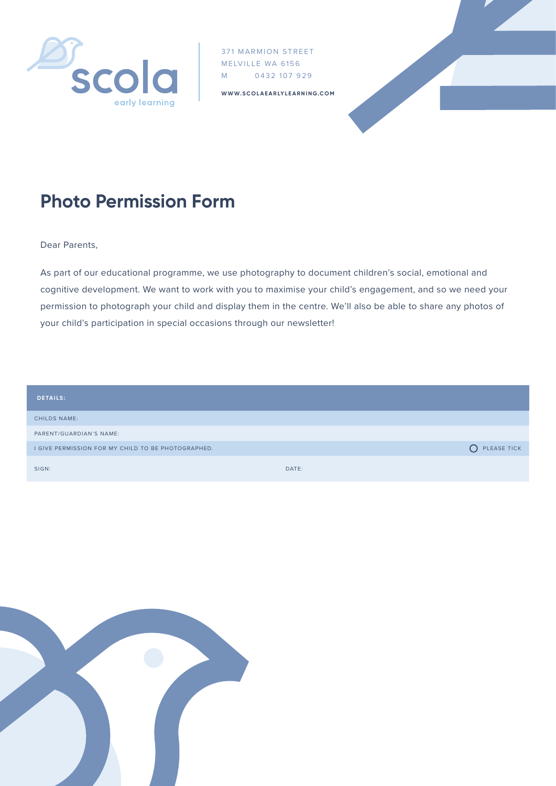

371 MARMION STREET MELVILLE WA 6156 M 0432 107 929

**WWW.SCOLAEARLYLEARNING.COM**



## **Photo Permission Form**

Dear Parents,

As part of our educational programme, we use photography to document children's social, emotional and cognitive development. We want to work with you to maximise your child's engagement, and so we need your permission to photograph your child and display them in the centre. We'll also be able to share any photos of your child's participation in special occasions through our newsletter!

| <b>DETAILS:</b>                                    |       |               |
|----------------------------------------------------|-------|---------------|
| <b>CHILDS NAME:</b>                                |       |               |
| PARENT/GUARDIAN'S NAME:                            |       |               |
| I GIVE PERMISSION FOR MY CHILD TO BE PHOTOGRAPHED. |       | O PLEASE TICK |
| SIGN:                                              | DATE: |               |

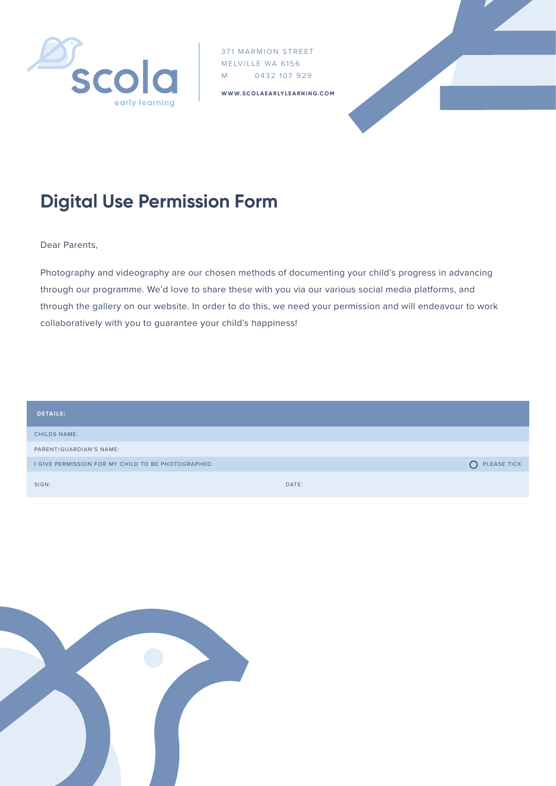

371 MARMION STREET MELVILLE WA 6156 M 0432 107 929

**WWW.SCOLAEARLYLEARNING.COM**



## **Digital Use Permission Form**

Dear Parents,

Photography and videography are our chosen methods of documenting your child's progress in advancing through our programme. We'd love to share these with you via our various social media platforms, and through the gallery on our website. In order to do this, we need your permission and will endeavour to work collaboratively with you to guarantee your child's happiness!

| <b>DETAILS:</b>                                    |       |               |
|----------------------------------------------------|-------|---------------|
| <b>CHILDS NAME:</b>                                |       |               |
| PARENT/GUARDIAN'S NAME:                            |       |               |
| I GIVE PERMISSION FOR MY CHILD TO BE PHOTOGRAPHED. |       | O PLEASE TICK |
| SIGN:                                              | DATE: |               |